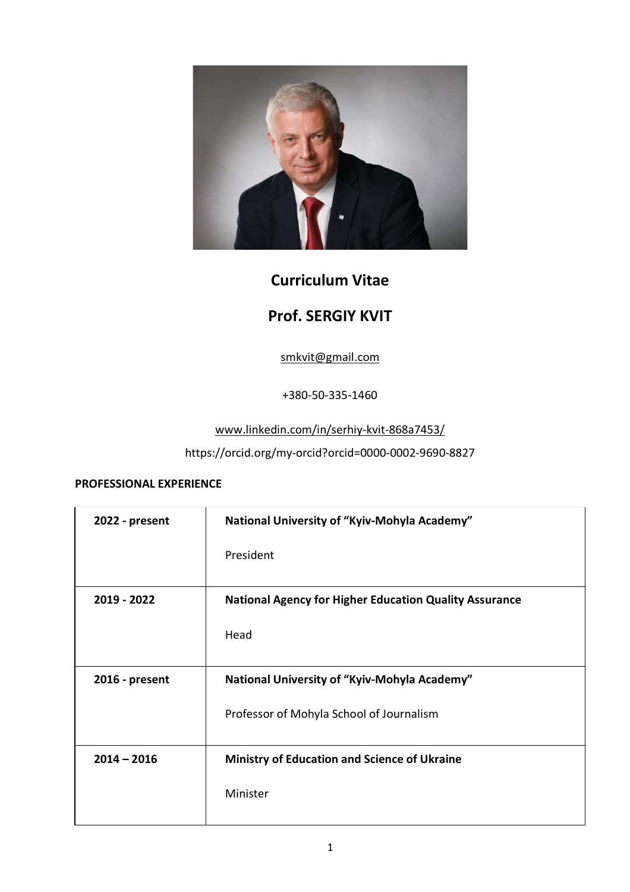

# **Curriculum Vitae**

# **Prof. SERGIY KVIT**

smkvit@gmail.com

+380-50-335-1460

www.linkedin.com/in/serhiy-kvit-868a7453/

https://orcid.org/my-orcid?orcid=0000-0002-9690-8827

## **PROFESSIONAL EXPERIENCE**

| 2022 - present | National University of "Kyiv-Mohyla Academy"                  |
|----------------|---------------------------------------------------------------|
|                | President                                                     |
| 2019 - 2022    | <b>National Agency for Higher Education Quality Assurance</b> |
|                | Head                                                          |
| 2016 - present | National University of "Kyiv-Mohyla Academy"                  |
|                | Professor of Mohyla School of Journalism                      |
| $2014 - 2016$  | <b>Ministry of Education and Science of Ukraine</b>           |
|                | Minister                                                      |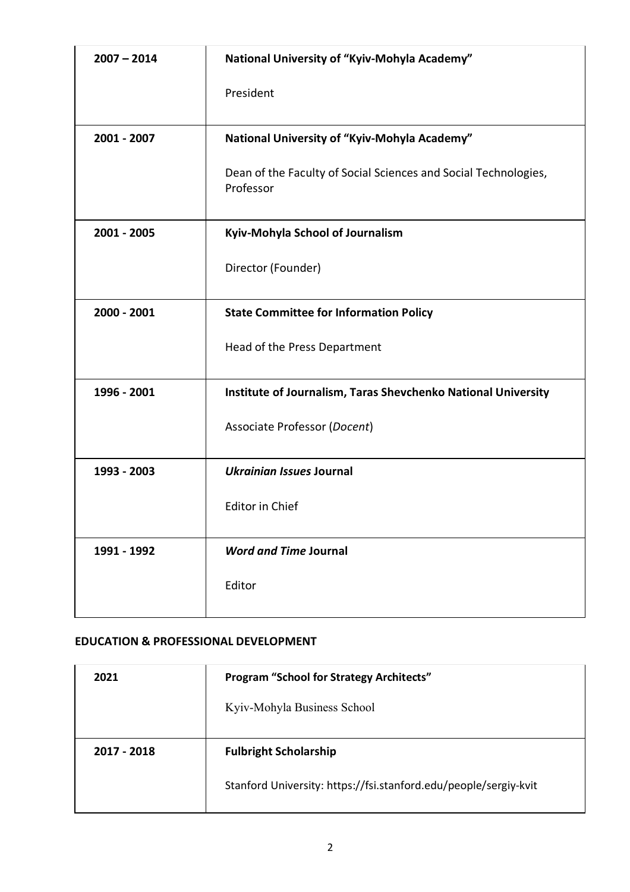| $2007 - 2014$ | National University of "Kyiv-Mohyla Academy"                                 |
|---------------|------------------------------------------------------------------------------|
|               | President                                                                    |
| 2001 - 2007   | National University of "Kyiv-Mohyla Academy"                                 |
|               | Dean of the Faculty of Social Sciences and Social Technologies,<br>Professor |
| 2001 - 2005   | Kyiv-Mohyla School of Journalism                                             |
|               | Director (Founder)                                                           |
| 2000 - 2001   | <b>State Committee for Information Policy</b>                                |
|               | Head of the Press Department                                                 |
| 1996 - 2001   | Institute of Journalism, Taras Shevchenko National University                |
|               | Associate Professor (Docent)                                                 |
| 1993 - 2003   | Ukrainian Issues Journal                                                     |
|               | <b>Editor in Chief</b>                                                       |
| 1991 - 1992   | <b>Word and Time Journal</b>                                                 |
|               | Editor                                                                       |

## **EDUCATION & PROFESSIONAL DEVELOPMENT**

| 2021        | <b>Program "School for Strategy Architects"</b>                  |
|-------------|------------------------------------------------------------------|
|             | Kyiv-Mohyla Business School                                      |
|             |                                                                  |
| 2017 - 2018 | <b>Fulbright Scholarship</b>                                     |
|             | Stanford University: https://fsi.stanford.edu/people/sergiy-kvit |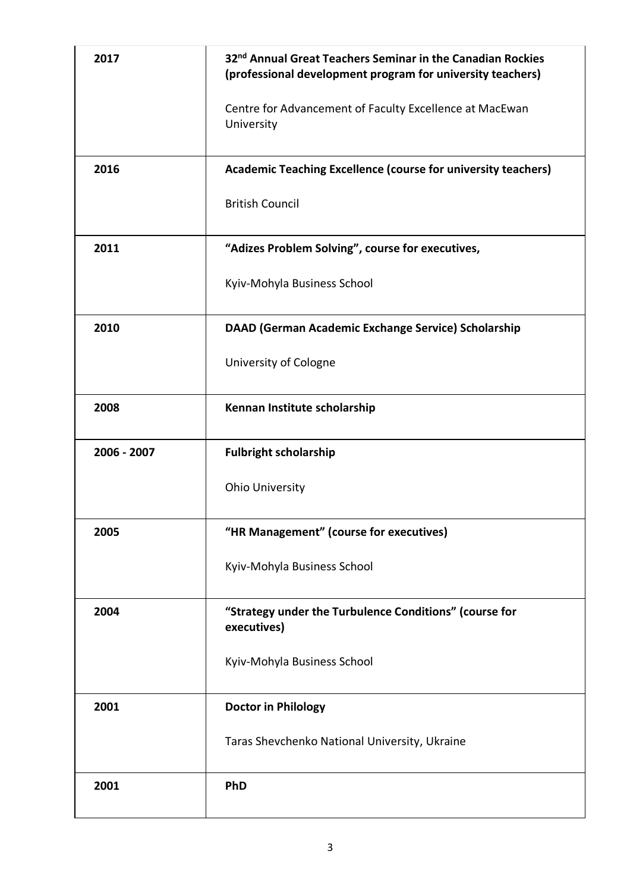| 2017        | 32 <sup>nd</sup> Annual Great Teachers Seminar in the Canadian Rockies<br>(professional development program for university teachers)<br>Centre for Advancement of Faculty Excellence at MacEwan<br>University |
|-------------|---------------------------------------------------------------------------------------------------------------------------------------------------------------------------------------------------------------|
| 2016        | <b>Academic Teaching Excellence (course for university teachers)</b><br><b>British Council</b>                                                                                                                |
| 2011        | "Adizes Problem Solving", course for executives,<br>Kyiv-Mohyla Business School                                                                                                                               |
| 2010        | DAAD (German Academic Exchange Service) Scholarship<br>University of Cologne                                                                                                                                  |
| 2008        | Kennan Institute scholarship                                                                                                                                                                                  |
| 2006 - 2007 | <b>Fulbright scholarship</b>                                                                                                                                                                                  |
|             | <b>Ohio University</b>                                                                                                                                                                                        |
| 2005        | "HR Management" (course for executives)                                                                                                                                                                       |
|             | Kyiv-Mohyla Business School                                                                                                                                                                                   |
| 2004        |                                                                                                                                                                                                               |
|             | "Strategy under the Turbulence Conditions" (course for<br>executives)                                                                                                                                         |
|             | Kyiv-Mohyla Business School                                                                                                                                                                                   |
| 2001        | <b>Doctor in Philology</b>                                                                                                                                                                                    |
|             | Taras Shevchenko National University, Ukraine                                                                                                                                                                 |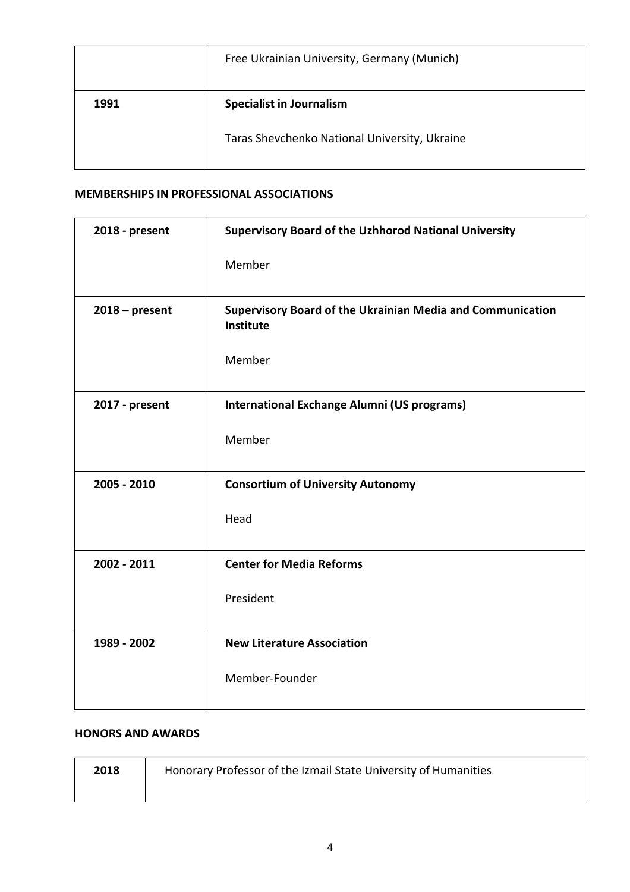|      | Free Ukrainian University, Germany (Munich)   |
|------|-----------------------------------------------|
| 1991 | <b>Specialist in Journalism</b>               |
|      | Taras Shevchenko National University, Ukraine |

## **MEMBERSHIPS IN PROFESSIONAL ASSOCIATIONS**

| 2018 - present   | <b>Supervisory Board of the Uzhhorod National University</b>                   |
|------------------|--------------------------------------------------------------------------------|
|                  | Member                                                                         |
| $2018$ – present | <b>Supervisory Board of the Ukrainian Media and Communication</b><br>Institute |
|                  | Member                                                                         |
| 2017 - present   | <b>International Exchange Alumni (US programs)</b>                             |
|                  | Member                                                                         |
| 2005 - 2010      | <b>Consortium of University Autonomy</b>                                       |
|                  | Head                                                                           |
| 2002 - 2011      | <b>Center for Media Reforms</b>                                                |
|                  | President                                                                      |
| 1989 - 2002      | <b>New Literature Association</b>                                              |
|                  | Member-Founder                                                                 |

#### **HONORS AND AWARDS**

| 2018 | Honorary Professor of the Izmail State University of Humanities |
|------|-----------------------------------------------------------------|
|      |                                                                 |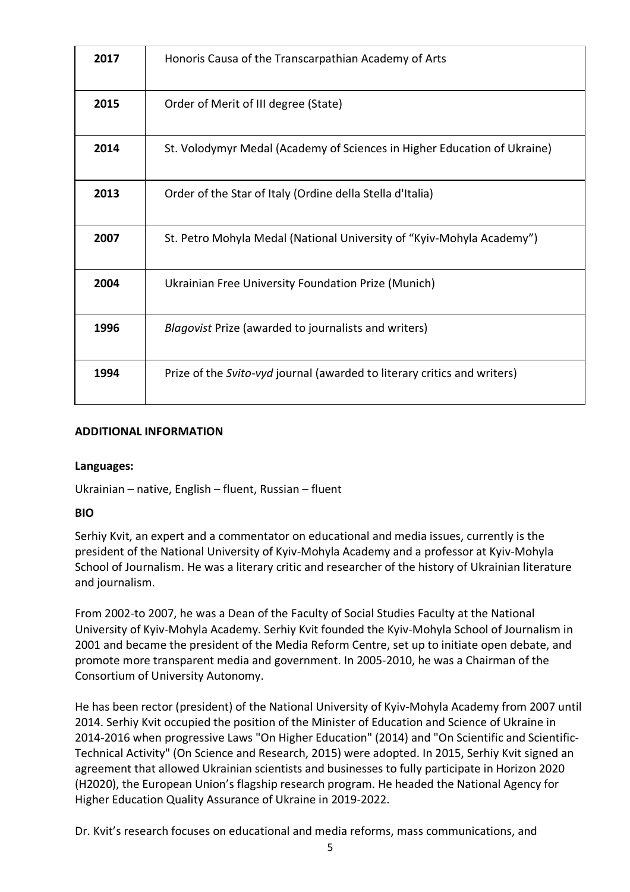| 2017 | Honoris Causa of the Transcarpathian Academy of Arts                     |
|------|--------------------------------------------------------------------------|
| 2015 | Order of Merit of III degree (State)                                     |
| 2014 | St. Volodymyr Medal (Academy of Sciences in Higher Education of Ukraine) |
| 2013 | Order of the Star of Italy (Ordine della Stella d'Italia)                |
| 2007 | St. Petro Mohyla Medal (National University of "Kyiv-Mohyla Academy")    |
| 2004 | Ukrainian Free University Foundation Prize (Munich)                      |
| 1996 | Blagovist Prize (awarded to journalists and writers)                     |
| 1994 | Prize of the Svito-vyd journal (awarded to literary critics and writers) |

## **ADDITIONAL INFORMATION**

#### **Languages:**

Ukrainian – native, English – fluent, Russian – fluent

#### **BIO**

Serhiy Kvit, an expert and a commentator on educational and media issues, currently is the president of the National University of Kyiv-Mohyla Academy and a professor at Kyiv-Mohyla School of Journalism. He was a literary critic and researcher of the history of Ukrainian literature and journalism.

From 2002-to 2007, he was a Dean of the Faculty of Social Studies Faculty at the National University of Kyiv-Mohyla Academy. Serhiy Kvit founded the Kyiv-Mohyla School of Journalism in 2001 and became the president of the Media Reform Centre, set up to initiate open debate, and promote more transparent media and government. In 2005-2010, he was a Chairman of the Consortium of University Autonomy.

He has been rector (president) of the National University of Kyiv-Mohyla Academy from 2007 until 2014. Serhiy Kvit occupied the position of the Minister of Education and Science of Ukraine in 2014-2016 when progressive Laws "On Higher Education" (2014) and "On Scientific and Scientific-Technical Activity" (On Science and Research, 2015) were adopted. In 2015, Serhiy Kvit signed an agreement that allowed Ukrainian scientists and businesses to fully participate in Horizon 2020 (H2020), the European Union's flagship research program. He headed the National Agency for Higher Education Quality Assurance of Ukraine in 2019-2022.

Dr. Kvit's research focuses on educational and media reforms, mass communications, and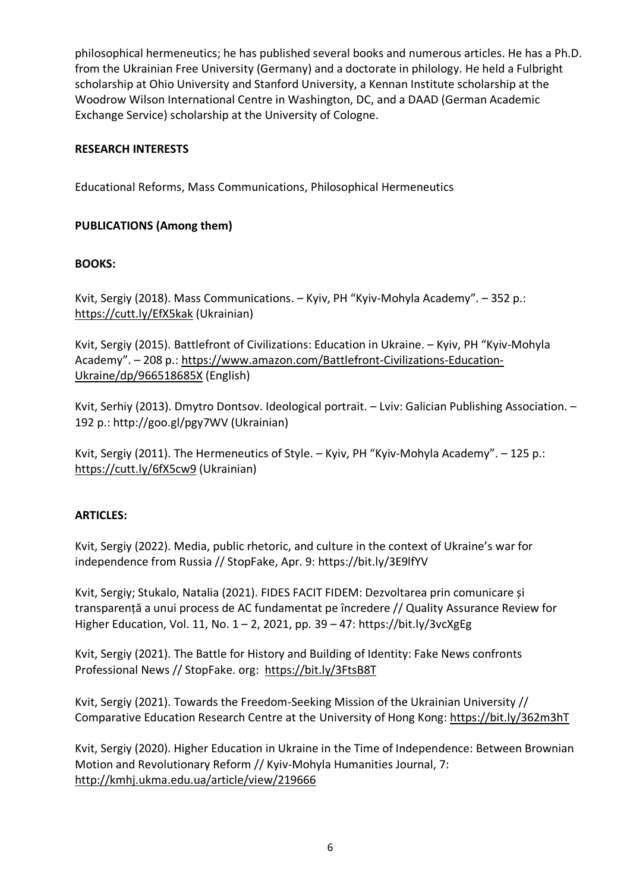philosophical hermeneutics; he has published several books and numerous articles. He has a Ph.D. from the Ukrainian Free University (Germany) and a doctorate in philology. He held a Fulbright scholarship at Ohio University and Stanford University, a Kennan Institute scholarship at the Woodrow Wilson International Centre in Washington, DC, and a DAAD (German Academic Exchange Service) scholarship at the University of Cologne.

## **RESEARCH INTERESTS**

Educational Reforms, Mass Communications, Philosophical Hermeneutics

## **PUBLICATIONS (Among them)**

## **BOOKS:**

Kvit, Sergiy (2018). Mass Communications. – Kyiv, PH "Kyiv-Mohyla Academy". – 352 p.: https://cutt.ly/EfX5kak (Ukrainian)

Kvit, Sergiy (2015). Battlefront of Civilizations: Education in Ukraine. – Kyiv, PH "Kyiv-Mohyla Academy". – 208 p.: https://www.amazon.com/Battlefront-Civilizations-Education-Ukraine/dp/966518685X (English)

Kvit, Serhiy (2013). Dmytro Dontsov. Ideological portrait. – Lviv: Galician Publishing Association. – 192 p.: http://goo.gl/pgy7WV (Ukrainian)

Kvit, Sergiy (2011). The Hermeneutics of Style. – Kyiv, PH "Kyiv-Mohyla Academy". – 125 p.: https://cutt.ly/6fX5cw9 (Ukrainian)

## **ARTICLES:**

Kvit, Sergiy (2022). Media, public rhetoric, and culture in the context of Ukraine's war for independence from Russia // StopFake, Apr. 9: https://bit.ly/3E9lfYV

Kvit, Sergiy; Stukalo, Natalia (2021). FIDES FACIT FIDEM: Dezvoltarea prin comunicare și transparență a unui process de AC fundamentat pe încredere // Quality Assurance Review for Higher Education, Vol. 11, No. 1 – 2, 2021, pp. 39 – 47: https://bit.ly/3vcXgEg

Kvit, Sergiy (2021). The Battle for History and Building of Identity: Fake News confronts Professional News // StopFake. org: https://bit.ly/3FtsB8T

Kvit, Sergiy (2021). Towards the Freedom-Seeking Mission of the Ukrainian University // Comparative Education Research Centre at the University of Hong Kong: https://bit.ly/362m3hT

Kvit, Sergiy (2020). Higher Education in Ukraine in the Time of Independence: Between Brownian Motion and Revolutionary Reform // Kyiv-Mohyla Humanities Journal, 7: http://kmhj.ukma.edu.ua/article/view/219666